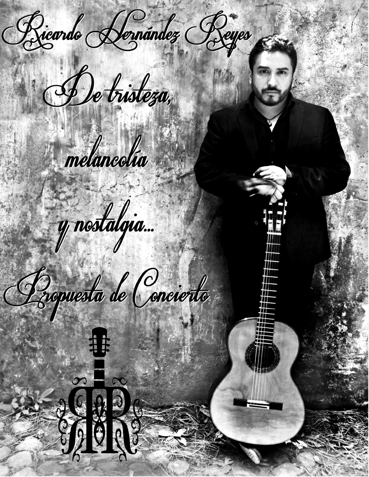Ricardo <del>N</del>ernández Reyes

De tristeza,

 $\bullet$ 

S

"期"

melancolía



# Propuesta de Concierto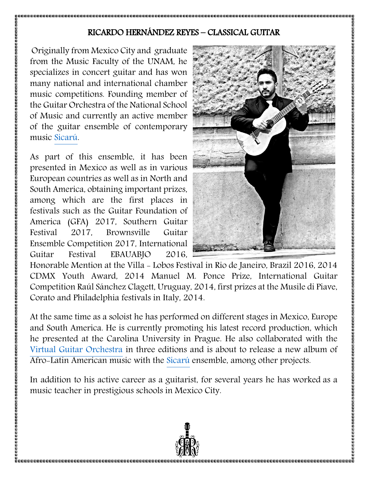## RICARDO HERNÁNDEZ REYES – CLASSICAL GUITAR

Originally from Mexico City and graduate from the Music Faculty of the UNAM, he specializes in concert guitar and has won many national and international chamber music competitions. Founding member of the Guitar Orchestra of the National School of Music and currently an active member of the guitar ensemble of contemporary music [Sicarú.](https://sicaruguitar.com/)

As part of this ensemble, it has been presented in Mexico as well as in various European countries as well as in North and South America, obtaining important prizes, among which are the first places in festivals such as the Guitar Foundation of America (GFA) 2017, Southern Guitar Festival 2017, Brownsville Guitar Ensemble Competition 2017, International Guitar Festival EBAUABJO 2016,



Honorable Mention at the Villa - Lobos Festival in Rio de Janeiro, Brazil 2016, 2014 CDMX Youth Award, 2014 Manuel M. Ponce Prize, International Guitar Competition Raúl Sánchez Clagett, Uruguay, 2014, first prizes at the Musile di Piave, Corato and Philadelphia festivals in Italy, 2014.

At the same time as a soloist he has performed on different stages in Mexico, Europe and South America. He is currently promoting his latest record production, which he presented at the Carolina University in Prague. He also collaborated with the Virtual Guitar [Orchestra](https://virtualguitarorchestra.com/) in three editions and is about to release a new album of Afro-Latin American music with the [Sicarú](https://sicaruguitar.com/) ensemble, among other projects.

In addition to his active career as a guitarist, for several years he has worked as a music teacher in prestigious schools in Mexico City.

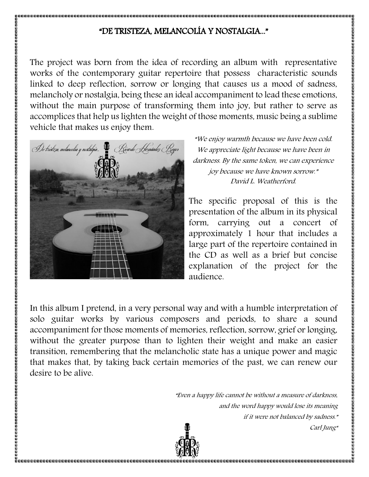# "DE TRISTEZA, MELANCOLÍA Y NOSTALGIA..."

The project was born from the idea of recording an album with representative works of the contemporary guitar repertoire that possess characteristic sounds linked to deep reflection, sorrow or longing that causes us a mood of sadness, melancholy or nostalgia, being these an ideal accompaniment to lead these emotions, without the main purpose of transforming them into joy, but rather to serve as accomplices that help us lighten the weight of those moments, music being a sublime vehicle that makes us enjoy them.



"We enjoy warmth because we have been cold. We appreciate light because we have been in darkness. By the same token, we can experience joy because we have known sorrow." David L. Weatherford.

The specific proposal of this is the presentation of the album in its physical form, carrying out a concert of approximately 1 hour that includes a large part of the repertoire contained in the CD as well as a brief but concise explanation of the project for the audience.

In this album I pretend, in a very personal way and with a humble interpretation of solo guitar works by various composers and periods, to share a sound accompaniment for those moments of memories, reflection, sorrow, grief or longing, without the greater purpose than to lighten their weight and make an easier transition, remembering that the melancholic state has a unique power and magic that makes that, by taking back certain memories of the past, we can renew our desire to be alive.

> "Even a happy life cannot be without a measure of darkness, and the word happy would lose its meaning if it were not balanced by sadness." Carl Jung"

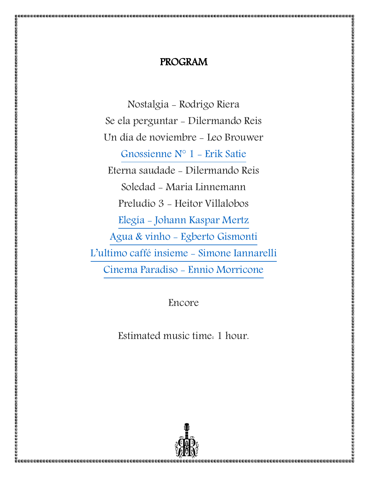# PROGRAM

Nostalgia - Rodrigo Riera Se ela perguntar - Dilermando Reis Un día de noviembre - Leo Brouwer [Gnossienne N° 1 -](https://www.youtube.com/watch?v=wI6U5aEFjks) Erik Satie Eterna saudade - Dilermando Reis Soledad - Maria Linnemann Preludio 3 - Heitor Villalobos Elegía - [Johann Kaspar Mertz](https://www.youtube.com/watch?v=TVmC0FDy5wg) Agua & vinho - [Egberto Gismonti](https://www.youtube.com/watch?v=jDPVFNcAbDs) [L'ultimo caffé insieme](https://www.youtube.com/watch?v=NW2m7sE7uRA) - Simone Iannarelli [Cinema Paradiso -](https://www.youtube.com/watch?v=rwUh8hp3qzc) Ennio Morricone

Encore

Estimated music time: 1 hour.